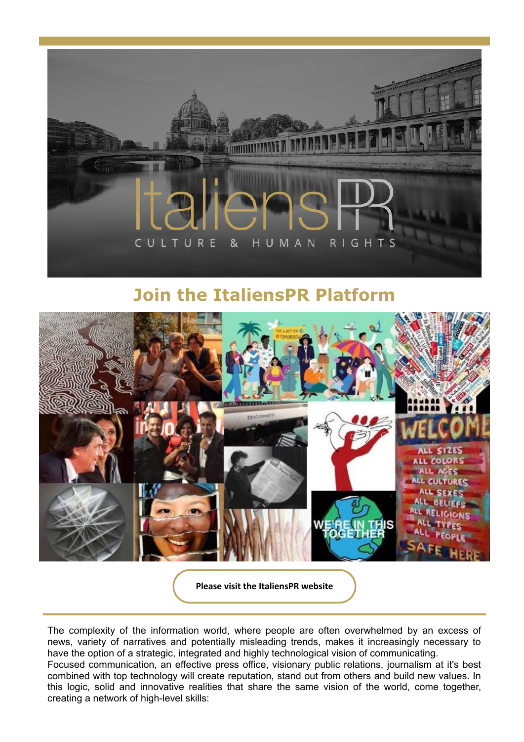

# **Join the ItaliensPR Platform**



**Please visit the [ItaliensPR](https://ityo.maillist-manage.eu/click.zc?m=1&mrd=13faeb14a628f8d&od=3za141e67da1465079748c22973cd92fd7&linkDgs=13faeb14a6269b3&repDgs=13faeb14a62903f) website**

The complexity of the information world, where people are often overwhelmed by an excess of news, variety of narratives and potentially misleading trends, makes it increasingly necessary to have the option of a strategic, integrated and highly technological vision of communicating. Focused communication, an effective press office, visionary public relations, journalism at it's best combined with top technology will create reputation, stand out from others and build new values. In this logic, solid and innovative realities that share the same vision of the world, come together, creating a network of high-level skills: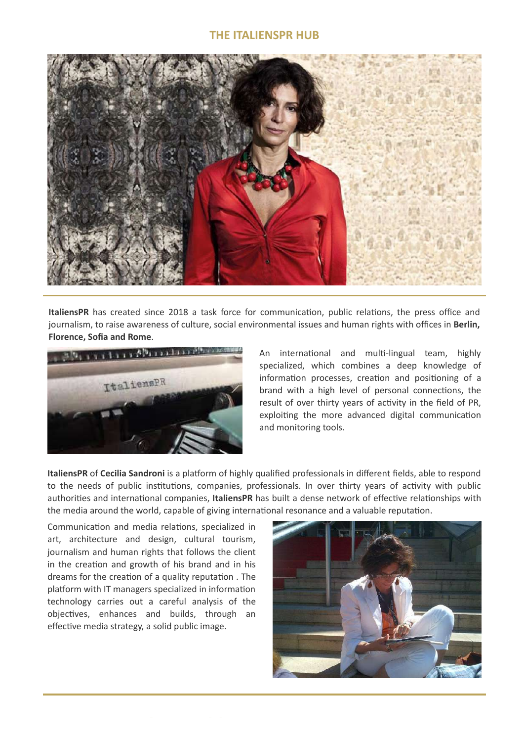### **THE ITALIENSPR HUB**



**ItaliensPR** has created since 2018 a task force for communication, public relations, the press office and journalism, to raise awareness of culture, social environmental issues and human rights with offices in **Berlin, Florence, Sofia and Rome**.



An international and multi-lingual team, highly specialized, which combines a deep knowledge of information processes, creation and positioning of a brand with a high level of personal connections, the result of over thirty years of activity in the field of PR, exploiting the more advanced digital communication and monitoring tools.

**ItaliensPR** of **Cecilia Sandroni** is a platform of highly qualified professionals in different fields, able to respond to the needs of public institutions, companies, professionals. In over thirty years of activity with public authorities and international companies, **ItaliensPR** has built a dense network of effective relationships with the media around the world, capable of giving international resonance and a valuable reputation.

Communication and media relations, specialized in art, architecture and design, cultural tourism, journalism and human rights that follows the client in the creation and growth of his brand and in his dreams for the creation of a quality reputation . The platform with IT managers specialized in information technology carries out a careful analysis of the objectives, enhances and builds, through an effective media strategy, a solid public image.

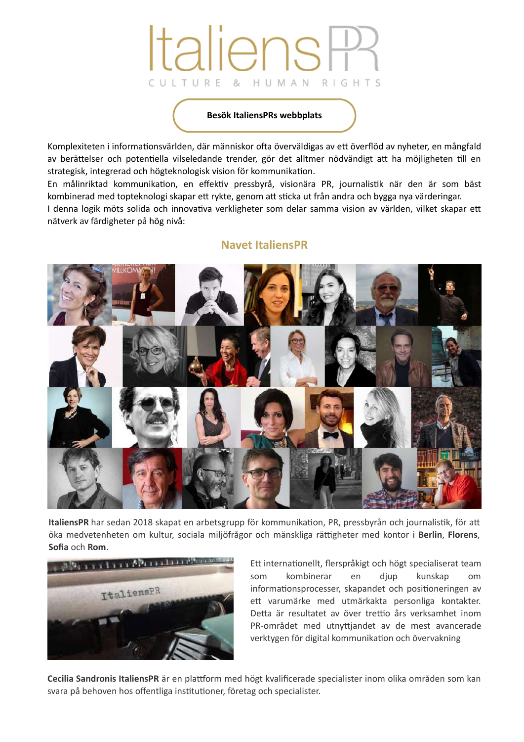# ltaliensA CULTURE & HUMAN RIGHTS

#### **Besök [ItaliensPRs](https://ityo.maillist-manage.eu/click.zc?m=1&mrd=13faeb14a628f8d&od=3za141e67da1465079748c22973cd92fd7&linkDgs=13faeb14a6269b5&repDgs=13faeb14a62903f) webbplats**

Komplexiteten i informationsvärlden, där människor ofta överväldigas av ett överflöd av nyheter, en mångfald av berättelser och potentiella vilseledande trender, gör det alltmer nödvändigt att ha möjligheten till en strategisk, integrerad och högteknologisk vision för kommunikation.

En målinriktad kommunikation, en effektiv pressbyrå, visionära PR, journalistik när den är som bäst kombinerad med topteknologi skapar ett rykte, genom att sticka ut från andra och bygga nya värderingar.

I denna logik möts solida och innovativa verkligheter som delar samma vision av världen, vilket skapar ett nätverk av färdigheter på hög nivå:



## **Navet ItaliensPR**

**ItaliensPR** har sedan 2018 skapat en arbetsgrupp för kommunikation, PR, pressbyrån och journalistik, för att öka medvetenheten om kultur, sociala miljöfrågor och mänskliga rättigheter med kontor i **Berlin**, **Florens**, **Sofia** och **Rom**.



Ett internationellt, flerspråkigt och högt specialiserat team som kombinerar en djup kunskap om informationsprocesser, skapandet och positioneringen av ett varumärke med utmärkakta personliga kontakter. Detta är resultatet av över trettio års verksamhet inom PR-området med utnyttjandet av de mest avancerade verktygen för digital kommunikation och övervakning

**Cecilia Sandronis ItaliensPR** är en plattform med högt kvalificerade specialister inom olika områden som kan svara på behoven hos offentliga institutioner, företag och specialister.